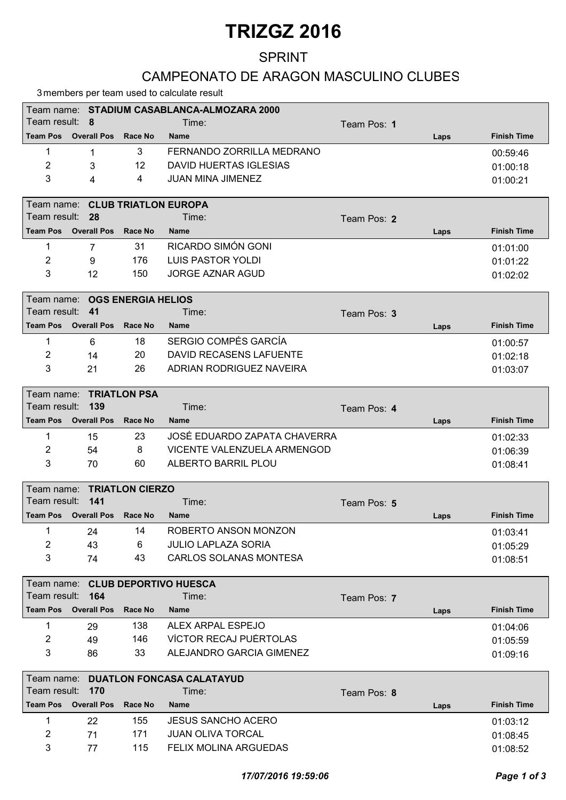# TRIZGZ 2016

### SPRINT

#### CAMPEONATO DE ARAGON MASCULINO CLUBES

3 members per team used to calculate result

|                 |                              |                                 | 3 members per team used to calculate result |             |      |                    |  |
|-----------------|------------------------------|---------------------------------|---------------------------------------------|-------------|------|--------------------|--|
|                 |                              |                                 | Team name: STADIUM CASABLANCA-ALMOZARA 2000 |             |      |                    |  |
| Team result:    | 8                            |                                 | Time:                                       | Team Pos: 1 |      |                    |  |
| <b>Team Pos</b> | <b>Overall Pos</b>           | <b>Race No</b>                  | <b>Name</b>                                 |             | Laps | <b>Finish Time</b> |  |
| 1               | 1                            | 3                               | FERNANDO ZORRILLA MEDRANO                   |             |      | 00:59:46           |  |
| $\overline{2}$  | 3                            | 12                              | <b>DAVID HUERTAS IGLESIAS</b>               |             |      | 01:00:18           |  |
| 3               | 4                            | 4                               | <b>JUAN MINA JIMENEZ</b>                    |             |      | 01:00:21           |  |
|                 |                              |                                 |                                             |             |      |                    |  |
|                 |                              | Team name: CLUB TRIATLON EUROPA |                                             |             |      |                    |  |
| Team result:    | 28                           |                                 | Time:                                       | Team Pos: 2 |      |                    |  |
| <b>Team Pos</b> | <b>Overall Pos</b>           | Race No                         | <b>Name</b>                                 |             | Laps | <b>Finish Time</b> |  |
| 1               | $\overline{7}$               | 31                              | RICARDO SIMÓN GONI                          |             |      | 01:01:00           |  |
| 2               | 9                            | 176                             | <b>LUIS PASTOR YOLDI</b>                    |             |      | 01:01:22           |  |
| 3               | 12                           | 150                             | <b>JORGE AZNAR AGUD</b>                     |             |      | 01:02:02           |  |
|                 |                              |                                 |                                             |             |      |                    |  |
| Team name:      |                              | <b>OGS ENERGIA HELIOS</b>       |                                             |             |      |                    |  |
| Team result:    | 41                           |                                 | Time:                                       | Team Pos: 3 |      |                    |  |
|                 | <b>Team Pos</b> Overall Pos  | Race No                         | <b>Name</b>                                 |             | Laps | <b>Finish Time</b> |  |
| 1               | 6                            | 18                              | SERGIO COMPÉS GARCÍA                        |             |      | 01:00:57           |  |
| 2               | 14                           | 20                              | DAVID RECASENS LAFUENTE                     |             |      | 01:02:18           |  |
| 3               | 21                           | 26                              | ADRIAN RODRIGUEZ NAVEIRA                    |             |      | 01:03:07           |  |
|                 |                              |                                 |                                             |             |      |                    |  |
|                 | Team name: TRIATLON PSA      |                                 |                                             |             |      |                    |  |
| Team result:    | 139                          |                                 | Time:                                       | Team Pos: 4 |      |                    |  |
| <b>Team Pos</b> | <b>Overall Pos</b>           | Race No                         | <b>Name</b>                                 |             | Laps | <b>Finish Time</b> |  |
| 1               | 15                           | 23                              | JOSÉ EDUARDO ZAPATA CHAVERRA                |             |      | 01:02:33           |  |
| 2               | 54                           | 8                               | VICENTE VALENZUELA ARMENGOD                 |             |      | 01:06:39           |  |
| 3               | 70                           | 60                              | ALBERTO BARRIL PLOU                         |             |      | 01:08:41           |  |
|                 |                              |                                 |                                             |             |      |                    |  |
|                 |                              | Team name: TRIATLON CIERZO      |                                             |             |      |                    |  |
| Team result:    | 141                          |                                 | Time:                                       | Team Pos: 5 |      |                    |  |
|                 | Team Pos Overall Pos Race No |                                 | <b>Name</b>                                 |             | Laps | <b>Finish Time</b> |  |
| 1               | 24                           | 14                              | ROBERTO ANSON MONZON                        |             |      | 01:03:41           |  |
| $\overline{c}$  | 43                           | 6                               | <b>JULIO LAPLAZA SORIA</b>                  |             |      | 01:05:29           |  |
| 3               | 74                           | 43                              | <b>CARLOS SOLANAS MONTESA</b>               |             |      | 01:08:51           |  |
|                 |                              |                                 |                                             |             |      |                    |  |
|                 |                              |                                 | Team name: CLUB DEPORTIVO HUESCA            |             |      |                    |  |
| Team result:    | 164                          |                                 | Time:                                       | Team Pos: 7 |      |                    |  |
| <b>Team Pos</b> | <b>Overall Pos</b>           | Race No                         | <b>Name</b>                                 |             | Laps | <b>Finish Time</b> |  |
| 1               | 29                           | 138                             | ALEX ARPAL ESPEJO                           |             |      | 01:04:06           |  |
| 2               | 49                           | 146                             | VÍCTOR RECAJ PUÉRTOLAS                      |             |      | 01:05:59           |  |
| 3               | 86                           | 33                              | ALEJANDRO GARCIA GIMENEZ                    |             |      | 01:09:16           |  |
|                 |                              |                                 |                                             |             |      |                    |  |
| Team name:      |                              |                                 | <b>DUATLON FONCASA CALATAYUD</b>            |             |      |                    |  |
| Team result:    | 170<br><b>Overall Pos</b>    | Race No                         | Time:                                       | Team Pos: 8 |      | <b>Finish Time</b> |  |
| <b>Team Pos</b> |                              |                                 | Name                                        |             | Laps |                    |  |

| ------------- |    |     |                              | $-$ upv | - ---- <del>-</del> -- - <i>----</i> |
|---------------|----|-----|------------------------------|---------|--------------------------------------|
|               | 22 | 155 | <b>JESUS SANCHO ACERO</b>    |         | 01:03:12                             |
|               |    | 171 | JUAN OLIVA TORCAL            |         | 01:08:45                             |
|               |    | 115 | <b>FELIX MOLINA ARGUEDAS</b> |         | 01:08:52                             |
|               |    |     |                              |         |                                      |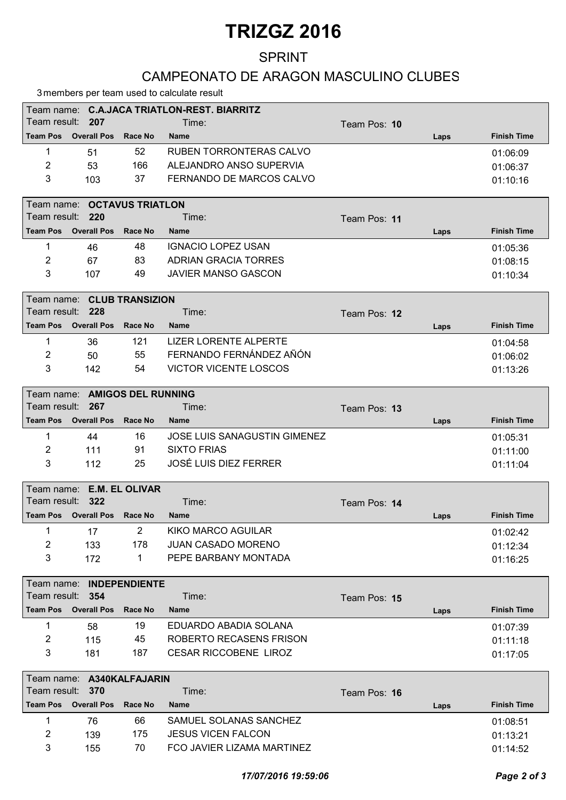# TRIZGZ 2016

### SPRINT

#### CAMPEONATO DE ARAGON MASCULINO CLUBES

3 members per team used to calculate result

| Team name: C.A.JACA TRIATLON-REST. BIARRITZ |                    |         |                          |              |      |                    |  |  |
|---------------------------------------------|--------------------|---------|--------------------------|--------------|------|--------------------|--|--|
| Team result: 207                            |                    |         | Time:                    | Team Pos: 10 |      |                    |  |  |
| <b>Team Pos</b>                             | <b>Overall Pos</b> | Race No | <b>Name</b>              |              | Laps | <b>Finish Time</b> |  |  |
|                                             | 51                 | 52      | RUBEN TORRONTERAS CALVO  |              |      | 01:06:09           |  |  |
| 2                                           | 53                 | 166     | ALEJANDRO ANSO SUPERVIA  |              |      | 01:06:37           |  |  |
| 3                                           | 103                | 37      | FERNANDO DE MARCOS CALVO |              |      | 01:10:16           |  |  |
|                                             |                    |         |                          |              |      |                    |  |  |

|                  | Team name:  OCTAVUS TRIATLON |         |                      |                     |      |                    |  |  |  |
|------------------|------------------------------|---------|----------------------|---------------------|------|--------------------|--|--|--|
| Team result: 220 |                              |         | Time:                | Team Pos: <b>11</b> |      |                    |  |  |  |
| <b>Team Pos</b>  | <b>Overall Pos</b>           | Race No | <b>Name</b>          |                     | Laps | <b>Finish Time</b> |  |  |  |
|                  | 46                           | 48      | IGNACIO LOPEZ USAN   |                     |      | 01:05:36           |  |  |  |
| 2                | 67                           | 83      | ADRIAN GRACIA TORRES |                     |      | 01:08:15           |  |  |  |
| 3                | 107                          | 49      | JAVIER MANSO GASCON  |                     |      | 01:10:34           |  |  |  |

|                           | Team name: CLUB TRANSIZION |         |                         |              |      |                    |  |  |  |  |
|---------------------------|----------------------------|---------|-------------------------|--------------|------|--------------------|--|--|--|--|
| l Team result: <b>228</b> |                            |         | Time:                   | Team Pos: 12 |      |                    |  |  |  |  |
| l Team Pos                | <b>Overall Pos</b>         | Race No | <b>Name</b>             |              | Laps | <b>Finish Time</b> |  |  |  |  |
|                           | 36                         | 121     | LIZER LORENTE ALPERTE   |              |      | 01:04:58           |  |  |  |  |
| 2                         | 50                         | 55      | FERNANDO FERNÁNDEZ AÑÓN |              |      | 01:06:02           |  |  |  |  |
| 3                         | 142                        | 54      | VICTOR VICENTE LOSCOS   |              |      | 01:13:26           |  |  |  |  |

|                  | Team name: AMIGOS DEL RUNNING |                |                              |              |      |                    |  |  |  |  |
|------------------|-------------------------------|----------------|------------------------------|--------------|------|--------------------|--|--|--|--|
| Team result: 267 |                               |                | Time:                        | Team Pos: 13 |      |                    |  |  |  |  |
|                  | Team Pos Overall Pos          | <b>Race No</b> | <b>Name</b>                  |              | Laps | <b>Finish Time</b> |  |  |  |  |
|                  | 44                            | 16             | JOSE LUIS SANAGUSTIN GIMENEZ |              |      | 01:05:31           |  |  |  |  |
| 2                | 111                           | 91             | SIXTO FRIAS                  |              |      | 01:11:00           |  |  |  |  |
| 3                | 112                           | 25             | JOSÉ LUIS DIEZ FERRER        |              |      | 01:11:04           |  |  |  |  |

|                  | Team name: E.M. EL OLIVAR |         |                      |              |      |                    |  |  |  |  |
|------------------|---------------------------|---------|----------------------|--------------|------|--------------------|--|--|--|--|
| Team result: 322 |                           |         | Time:                | Team Pos: 14 |      |                    |  |  |  |  |
| <b>Team Pos</b>  | <b>Overall Pos</b>        | Race No | <b>Name</b>          |              | Laps | <b>Finish Time</b> |  |  |  |  |
|                  |                           | 2.      | KIKO MARCO AGUILAR   |              |      | 01:02:42           |  |  |  |  |
| 2                | 133                       | 178     | JUAN CASADO MORENO   |              |      | 01:12:34           |  |  |  |  |
| 3                | 172                       |         | PEPE BARBANY MONTADA |              |      | 01:16:25           |  |  |  |  |

|                  | Team name: INDEPENDIENTE |         |                              |              |      |                    |  |  |  |  |
|------------------|--------------------------|---------|------------------------------|--------------|------|--------------------|--|--|--|--|
| Team result: 354 |                          |         | Time:                        | Team Pos: 15 |      |                    |  |  |  |  |
| <b>Team Pos</b>  | <b>Overall Pos</b>       | Race No | <b>Name</b>                  |              | Laps | <b>Finish Time</b> |  |  |  |  |
|                  | 58                       | 19      | EDUARDO ABADIA SOLANA        |              |      | 01:07:39           |  |  |  |  |
| 2                | 115                      | 45      | ROBERTO RECASENS FRISON      |              |      | 01:11:18           |  |  |  |  |
| 3                | 181                      | 187     | <b>CESAR RICCOBENE LIROZ</b> |              |      | 01:17:05           |  |  |  |  |

|                  | Team name: A340KALFAJARIN |         |                            |              |      |                    |  |  |  |  |
|------------------|---------------------------|---------|----------------------------|--------------|------|--------------------|--|--|--|--|
| Team result: 370 |                           |         | Time:                      | Team Pos: 16 |      |                    |  |  |  |  |
| <b>Team Pos</b>  | <b>Overall Pos</b>        | Race No | <b>Name</b>                |              | Laps | <b>Finish Time</b> |  |  |  |  |
|                  | 76                        | 66      | SAMUEL SOLANAS SANCHEZ     |              |      | 01:08:51           |  |  |  |  |
| 2                | 139                       | 175     | JESUS VICEN FALCON         |              |      | 01:13:21           |  |  |  |  |
| 3                | 155                       | 70      | FCO JAVIER LIZAMA MARTINEZ |              |      | 01:14:52           |  |  |  |  |